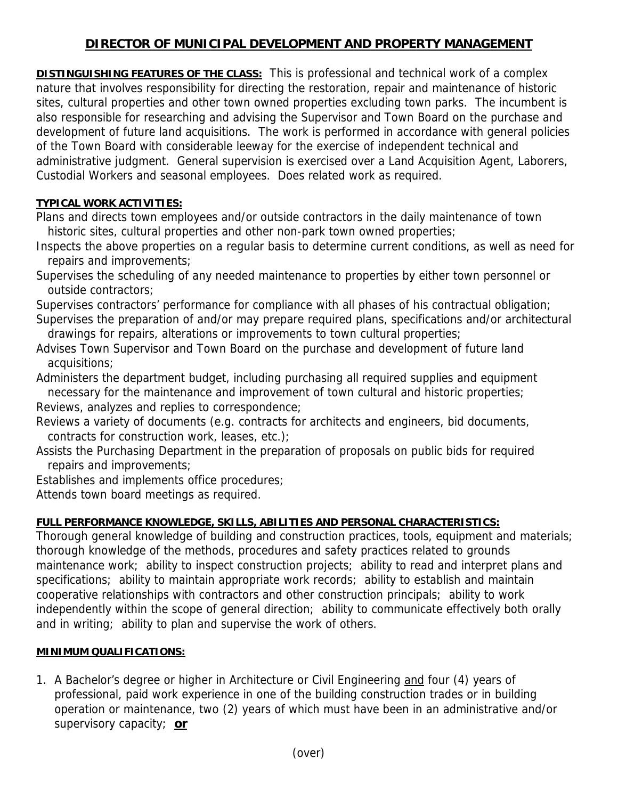## **DIRECTOR OF MUNICIPAL DEVELOPMENT AND PROPERTY MANAGEMENT**

**DISTINGUISHING FEATURES OF THE CLASS:** This is professional and technical work of a complex nature that involves responsibility for directing the restoration, repair and maintenance of historic sites, cultural properties and other town owned properties excluding town parks. The incumbent is also responsible for researching and advising the Supervisor and Town Board on the purchase and development of future land acquisitions. The work is performed in accordance with general policies of the Town Board with considerable leeway for the exercise of independent technical and administrative judgment. General supervision is exercised over a Land Acquisition Agent, Laborers, Custodial Workers and seasonal employees. Does related work as required.

## **TYPICAL WORK ACTIVITIES:**

Plans and directs town employees and/or outside contractors in the daily maintenance of town historic sites, cultural properties and other non-park town owned properties;

Inspects the above properties on a regular basis to determine current conditions, as well as need for repairs and improvements;

Supervises the scheduling of any needed maintenance to properties by either town personnel or outside contractors;

Supervises contractors' performance for compliance with all phases of his contractual obligation;

Supervises the preparation of and/or may prepare required plans, specifications and/or architectural drawings for repairs, alterations or improvements to town cultural properties;

Advises Town Supervisor and Town Board on the purchase and development of future land acquisitions;

Administers the department budget, including purchasing all required supplies and equipment necessary for the maintenance and improvement of town cultural and historic properties;

Reviews, analyzes and replies to correspondence;

Reviews a variety of documents (e.g. contracts for architects and engineers, bid documents, contracts for construction work, leases, etc.);

Assists the Purchasing Department in the preparation of proposals on public bids for required repairs and improvements;

Establishes and implements office procedures;

Attends town board meetings as required.

## **FULL PERFORMANCE KNOWLEDGE, SKILLS, ABILITIES AND PERSONAL CHARACTERISTICS:**

Thorough general knowledge of building and construction practices, tools, equipment and materials; thorough knowledge of the methods, procedures and safety practices related to grounds maintenance work; ability to inspect construction projects; ability to read and interpret plans and specifications; ability to maintain appropriate work records; ability to establish and maintain cooperative relationships with contractors and other construction principals; ability to work independently within the scope of general direction; ability to communicate effectively both orally and in writing; ability to plan and supervise the work of others.

## **MINIMUM QUALIFICATIONS:**

1. A Bachelor's degree or higher in Architecture or Civil Engineering and four (4) years of professional, paid work experience in one of the building construction trades or in building operation or maintenance, two (2) years of which must have been in an administrative and/or supervisory capacity; **or**